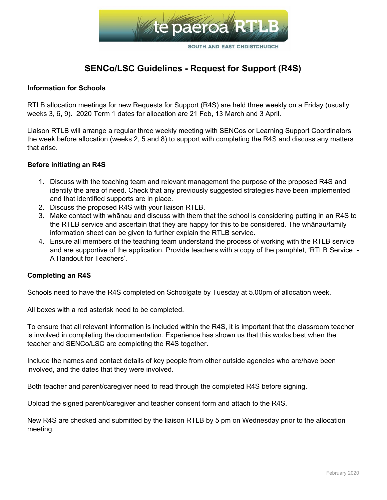

# **SENCo/LSC Guidelines - Request for Support (R4S)**

## **Information for Schools**

RTLB allocation meetings for new Requests for Support (R4S) are held three weekly on a Friday (usually weeks 3, 6, 9). 2020 Term 1 dates for allocation are 21 Feb, 13 March and 3 April.

Liaison RTLB will arrange a regular three weekly meeting with SENCos or Learning Support Coordinators the week before allocation (weeks 2, 5 and 8) to support with completing the R4S and discuss any matters that arise.

## **Before initiating an R4S**

- 1. Discuss with the teaching team and relevant management the purpose of the proposed R4S and identify the area of need. Check that any previously suggested strategies have been implemented and that identified supports are in place.
- 2. Discuss the proposed R4S with your liaison RTLB.
- 3. Make contact with whānau and discuss with them that the school is considering putting in an R4S to the RTLB service and ascertain that they are happy for this to be considered. The whānau/family information sheet can be given to further explain the RTLB service.
- 4. Ensure all members of the teaching team understand the process of working with the RTLB service and are supportive of the application. Provide teachers with a copy of the pamphlet, 'RTLB Service - A Handout for Teachers'.

#### **Completing an R4S**

Schools need to have the R4S completed on Schoolgate by Tuesday at 5.00pm of allocation week.

All boxes with a red asterisk need to be completed.

To ensure that all relevant information is included within the R4S, it is important that the classroom teacher is involved in completing the documentation. Experience has shown us that this works best when the teacher and SENCo/LSC are completing the R4S together.

Include the names and contact details of key people from other outside agencies who are/have been involved, and the dates that they were involved.

Both teacher and parent/caregiver need to read through the completed R4S before signing.

Upload the signed parent/caregiver and teacher consent form and attach to the R4S.

New R4S are checked and submitted by the liaison RTLB by 5 pm on Wednesday prior to the allocation meeting.